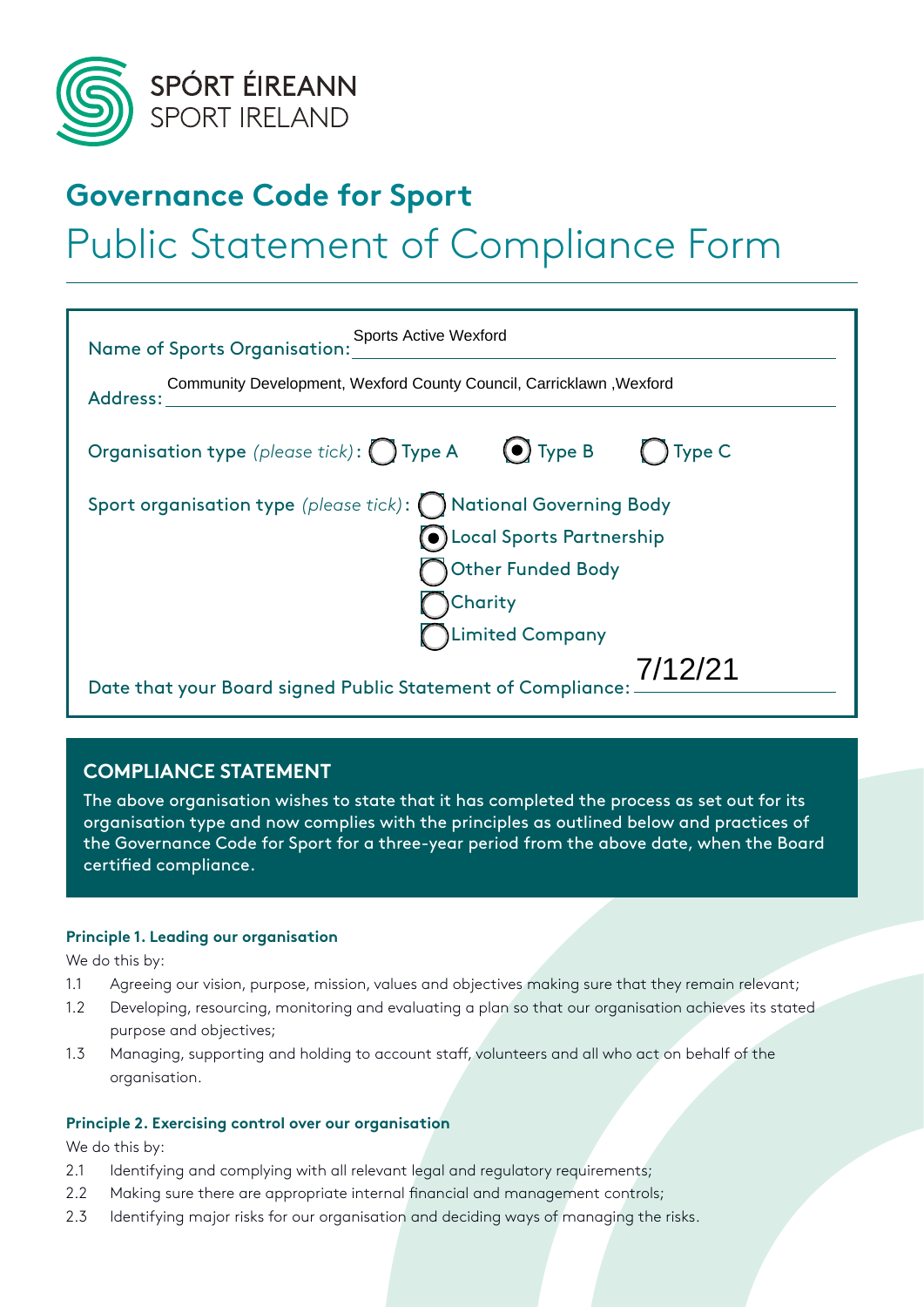

# **Governance Code for Sport** Public Statement of Compliance Form

## Name of Sports Organisation: Address: Organisation type *(please tick)*: **Type A**  $\bigcirc$  Type B  $\bigcirc$  Type C Sport organisation type (please tick): (C) National Governing Body Local Sports Partnership Other Funded Body **Charity** Limited Company Date that your Board signed Public Statement of Compliance: Sports Active Wexford Community Development, Wexford County Council, Carricklawn ,Wexford 7/12/21

### **COMPLIANCE STATEMENT**

The above organisation wishes to state that it has completed the process as set out for its organisation type and now complies with the principles as outlined below and practices of the Governance Code for Sport for a three-year period from the above date, when the Board certified compliance.

#### **Principle 1. Leading our organisation**

We do this by:

- 1.1 Agreeing our vision, purpose, mission, values and objectives making sure that they remain relevant;
- 1.2 Developing, resourcing, monitoring and evaluating a plan so that our organisation achieves its stated purpose and objectives;
- 1.3 Managing, supporting and holding to account staff, volunteers and all who act on behalf of the organisation.

#### **Principle 2. Exercising control over our organisation**

We do this by:

- 2.1 Identifying and complying with all relevant legal and regulatory requirements;
- 2.2 Making sure there are appropriate internal financial and management controls;
- 2.3 Identifying major risks for our organisation and deciding ways of managing the risks.